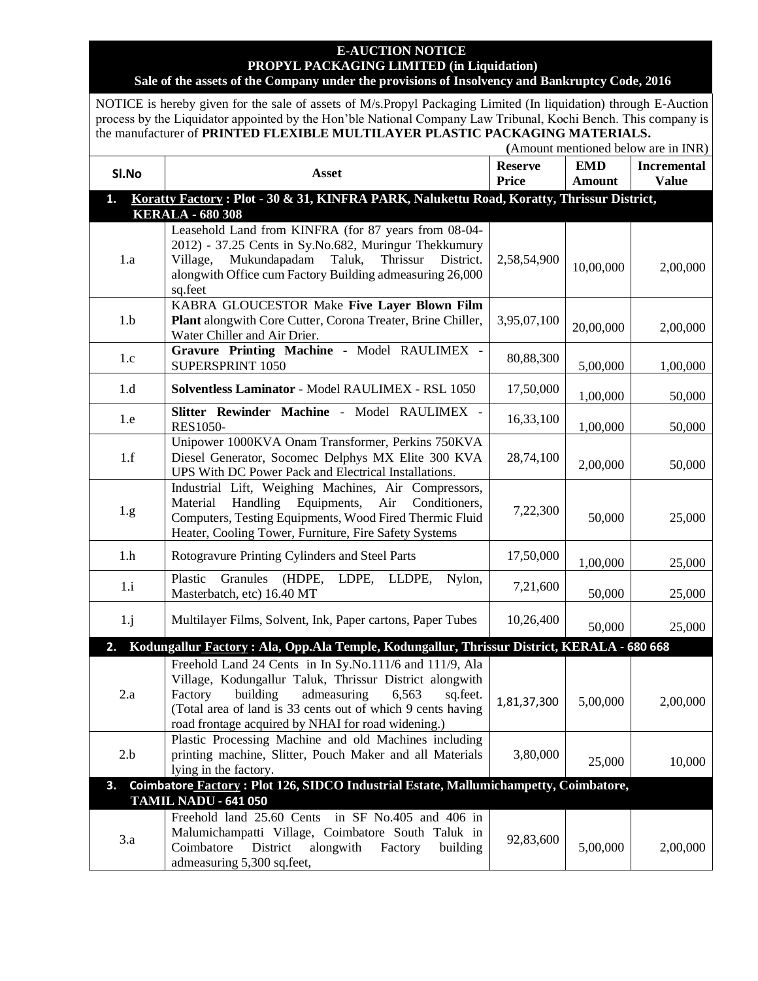## **E-AUCTION NOTICE PROPYL PACKAGING LIMITED (in Liquidation) Sale of the assets of the Company under the provisions of Insolvency and Bankruptcy Code, 2016**

NOTICE is hereby given for the sale of assets of M/s.Propyl Packaging Limited (In liquidation) through E-Auction process by the Liquidator appointed by the Hon'ble National Company Law Tribunal, Kochi Bench. This company is the manufacturer of **PRINTED FLEXIBLE MULTILAYER PLASTIC PACKAGING MATERIALS.**

 **(**Amount mentioned below are in INR)

| SI.No                                                                                                                      | Asset                                                                                                                                                                                                                                                                                              | <b>Reserve</b><br><b>Price</b> | <b>EMD</b><br><b>Amount</b> | <b>Incremental</b><br><b>Value</b> |  |  |  |
|----------------------------------------------------------------------------------------------------------------------------|----------------------------------------------------------------------------------------------------------------------------------------------------------------------------------------------------------------------------------------------------------------------------------------------------|--------------------------------|-----------------------------|------------------------------------|--|--|--|
| Koratty Factory: Plot - 30 & 31, KINFRA PARK, Nalukettu Road, Koratty, Thrissur District,<br>1.<br><b>KERALA - 680 308</b> |                                                                                                                                                                                                                                                                                                    |                                |                             |                                    |  |  |  |
| 1.a                                                                                                                        | Leasehold Land from KINFRA (for 87 years from 08-04-<br>2012) - 37.25 Cents in Sy.No.682, Muringur Thekkumury<br>Mukundapadam<br>Thrissur<br>District.<br>Taluk,<br>Village,<br>alongwith Office cum Factory Building admeasuring 26,000<br>sq.feet                                                | 2,58,54,900                    | 10,00,000                   | 2,00,000                           |  |  |  |
| 1.b                                                                                                                        | KABRA GLOUCESTOR Make Five Layer Blown Film<br>Plant alongwith Core Cutter, Corona Treater, Brine Chiller,<br>Water Chiller and Air Drier.                                                                                                                                                         | 3,95,07,100                    | 20,00,000                   | 2,00,000                           |  |  |  |
| 1.c                                                                                                                        | Gravure Printing Machine - Model RAULIMEX -<br>SUPERSPRINT 1050                                                                                                                                                                                                                                    | 80,88,300                      | 5,00,000                    | 1,00,000                           |  |  |  |
| 1.d                                                                                                                        | Solventless Laminator - Model RAULIMEX - RSL 1050                                                                                                                                                                                                                                                  | 17,50,000                      | 1,00,000                    | 50,000                             |  |  |  |
| 1.e                                                                                                                        | Slitter Rewinder Machine - Model RAULIMEX -<br><b>RES1050-</b>                                                                                                                                                                                                                                     | 16,33,100                      | 1,00,000                    | 50,000                             |  |  |  |
| 1.f                                                                                                                        | Unipower 1000KVA Onam Transformer, Perkins 750KVA<br>Diesel Generator, Socomec Delphys MX Elite 300 KVA<br>UPS With DC Power Pack and Electrical Installations.                                                                                                                                    | 28,74,100                      | 2,00,000                    | 50,000                             |  |  |  |
| 1.g.                                                                                                                       | Industrial Lift, Weighing Machines, Air Compressors,<br>Material<br>Handling<br>Equipments,<br>Air<br>Conditioners,<br>Computers, Testing Equipments, Wood Fired Thermic Fluid<br>Heater, Cooling Tower, Furniture, Fire Safety Systems                                                            | 7,22,300                       | 50,000                      | 25,000                             |  |  |  |
| 1.h                                                                                                                        | Rotogravure Printing Cylinders and Steel Parts                                                                                                                                                                                                                                                     | 17,50,000                      | 1,00,000                    | 25,000                             |  |  |  |
| 1.i                                                                                                                        | Granules<br>(HDPE,<br>LDPE,<br>Nylon,<br>Plastic<br>LLDPE,<br>Masterbatch, etc) 16.40 MT                                                                                                                                                                                                           | 7,21,600                       | 50,000                      | 25,000                             |  |  |  |
| 1,j                                                                                                                        | Multilayer Films, Solvent, Ink, Paper cartons, Paper Tubes                                                                                                                                                                                                                                         | 10,26,400                      | 50,000                      | 25,000                             |  |  |  |
| 2.                                                                                                                         | Kodungallur Factory: Ala, Opp.Ala Temple, Kodungallur, Thrissur District, KERALA - 680 668                                                                                                                                                                                                         |                                |                             |                                    |  |  |  |
| 2.a                                                                                                                        | Freehold Land 24 Cents in In Sy.No.111/6 and 111/9, Ala<br>Village, Kodungallur Taluk, Thrissur District alongwith<br>building<br>admeasuring<br>Factory<br>6,563<br>sq.feet.<br>(Total area of land is 33 cents out of which 9 cents having<br>road frontage acquired by NHAI for road widening.) | 1,81,37,300                    | 5,00,000                    | 2,00,000                           |  |  |  |
| 2.b                                                                                                                        | Plastic Processing Machine and old Machines including<br>printing machine, Slitter, Pouch Maker and all Materials<br>lying in the factory.                                                                                                                                                         | 3,80,000                       | 25,000                      | 10,000                             |  |  |  |
| 3.                                                                                                                         | Coimbatore Factory: Plot 126, SIDCO Industrial Estate, Mallumichampetty, Coimbatore,                                                                                                                                                                                                               |                                |                             |                                    |  |  |  |
| 3.a                                                                                                                        | <b>TAMIL NADU - 641 050</b><br>Freehold land 25.60 Cents<br>in SF No.405 and 406 in<br>Malumichampatti Village, Coimbatore South Taluk in<br>Coimbatore<br>District<br>alongwith<br>Factory<br>building<br>admeasuring 5,300 sq.feet,                                                              | 92,83,600                      | 5,00,000                    | 2,00,000                           |  |  |  |